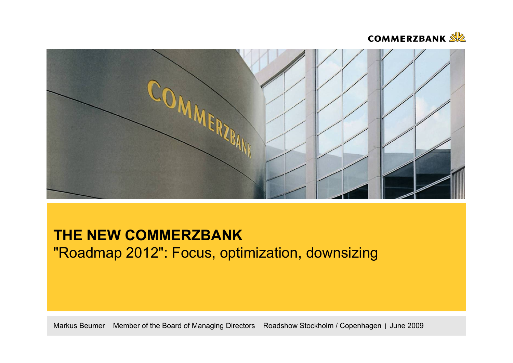



# **THE NEW COMMERZBANK**"Roadmap 2012": Focus, optimization, downsizing

Markus Beumer | Member of the Board of Managing Directors | Roadshow Stockholm / Copenhagen | June 2009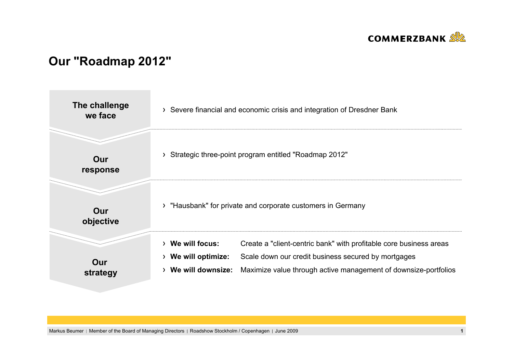

# **Our "Roadmap 2012"**



Markus Beumer | Member of the Board of Managing Directors | Roadshow Stockholm / Copenhagen | June 2009 **1 1**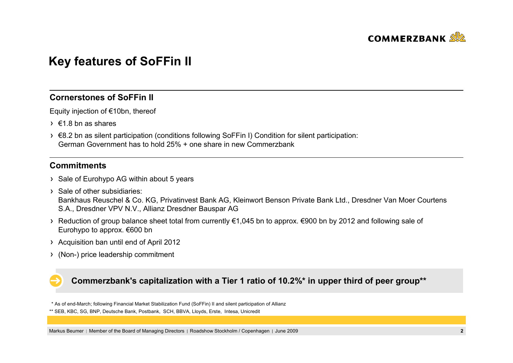

# **Key features of SoFFin II**

## **Cornerstones of SoFFin II**

Equity injection of €10bn, thereof

- $\rightarrow$   $\epsilon$ 1.8 bn as shares
- €8.2 bn as silent participation (conditions following SoFFin I) Condition for silent participation: German Government has to hold 25% + one share in new Commerzbank

## **Commitments**

- > Sale of Eurohypo AG within about 5 years
- $\rightarrow$  Sale of other subsidiaries: Bankhaus Reuschel & Co. KG, Privatinvest Bank AG, Kleinwort Benson Private Bank Ltd., Dresdner Van Moer Courtens S.A., Dresdner VPV N.V., Allianz Dresdner Bauspar AG
- Reduction of group balance sheet total from currently €1,045 bn to approx. €900 bn by 2012 and following sale of Eurohypo to approx. €600 bn
- Acquisition ban until end of April 2012
- (Non-) price leadership commitment

## **Commerzbank's capitalization with a Tier 1 ratio of 10.2%\* in upper third of peer group\*\***

\* As of end-March; following Financial Market Stabilization Fund (SoFFin) II and silent participation of Allianz

\*\* SEB, KBC, SG, BNP, Deutsche Bank, Postbank, SCH, BBVA, Lloyds, Erste, Intesa, Unicredit

Markus Beumer | Member of the Board of Managing Directors | Roadshow Stockholm / Copenhagen | June 2009 **2 2 2**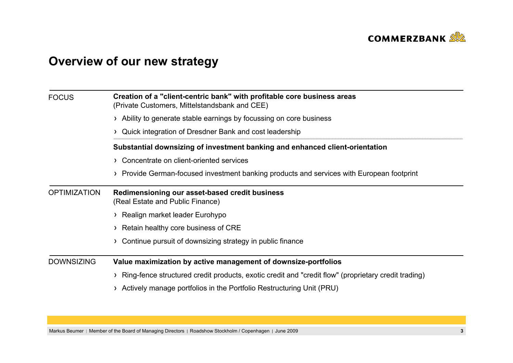

# **Overview of our new strategy**

| <b>FOCUS</b>        | Creation of a "client-centric bank" with profitable core business areas<br>(Private Customers, Mittelstandsbank and CEE) |  |  |  |  |
|---------------------|--------------------------------------------------------------------------------------------------------------------------|--|--|--|--|
|                     | > Ability to generate stable earnings by focussing on core business                                                      |  |  |  |  |
|                     | > Quick integration of Dresdner Bank and cost leadership                                                                 |  |  |  |  |
|                     | Substantial downsizing of investment banking and enhanced client-orientation                                             |  |  |  |  |
|                     | > Concentrate on client-oriented services                                                                                |  |  |  |  |
|                     | > Provide German-focused investment banking products and services with European footprint                                |  |  |  |  |
| <b>OPTIMIZATION</b> | Redimensioning our asset-based credit business<br>(Real Estate and Public Finance)                                       |  |  |  |  |
|                     | > Realign market leader Eurohypo                                                                                         |  |  |  |  |
|                     | > Retain healthy core business of CRE                                                                                    |  |  |  |  |
|                     | Continue pursuit of downsizing strategy in public finance                                                                |  |  |  |  |
| <b>DOWNSIZING</b>   | Value maximization by active management of downsize-portfolios                                                           |  |  |  |  |
|                     | Ring-fence structured credit products, exotic credit and "credit flow" (proprietary credit trading)                      |  |  |  |  |
|                     | Actively manage portfolios in the Portfolio Restructuring Unit (PRU)                                                     |  |  |  |  |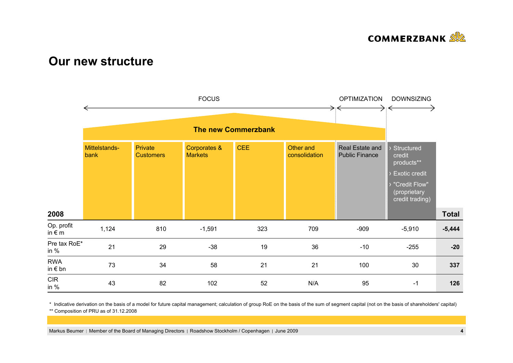

## **Our new structure**



\* Indicative derivation on the basis of a model for future capital management; calculation of group RoE on the basis of the sum of segment capital (not on the basis of shareholders' capital)

\*\* Composition of PRU as of 31.12.2008

Markus Beumer | Member of the Board of Managing Directors | Roadshow Stockholm / Copenhagen | June 2009 **4**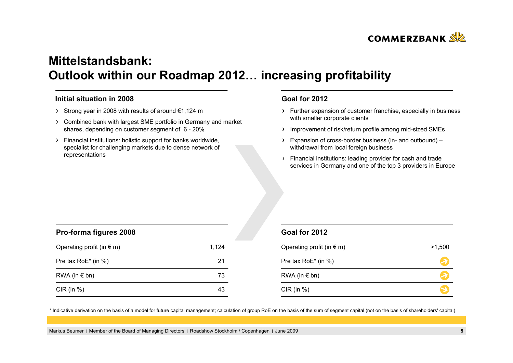

# **Mittelstandsbank: Outlook within our Roadmap 2012… increasing profitability**

#### **Initial situation in 2008**

- Strong year in 2008 with results of around €1,124 m
- Combined bank with largest SME portfolio in Germany and market shares, depending on customer segment of 6 - 20%
- Financial institutions: holistic support for banks worldwide, specialist for challenging markets due to dense network of representations

### **Goal for 2012**

- Further expansion of customer franchise, especially in business with smaller corporate clients
- > Improvement of risk/return profile among mid-sized SMEs
- Expansion of cross-border business (in- and outbound) withdrawal from local foreign business
- Financial institutions: leading provider for cash and trade services in Germany and one of the top 3 providers in Europe

| Pro-forma figures 2008             |       |
|------------------------------------|-------|
| Operating profit (in $\epsilon$ m) | 1,124 |
| Pre tax $RoE^*$ (in %)             | 21    |
| RWA (in $\notin$ bn)               | 73    |
| $CIR$ (in $%$ )                    | 43    |

### **Goal for 2012**

| Operating profit (in $\epsilon$ m) | >1,500 |
|------------------------------------|--------|
| Pre tax RoE* (in %)                |        |
| RWA (in $\notin$ bn)               |        |
| $CIR$ (in %)                       |        |

\* Indicative derivation on the basis of a model for future capital management; calculation of group RoE on the basis of the sum of segment capital (not on the basis of shareholders' capital)

Markus Beumer | Member of the Board of Managing Directors | Roadshow Stockholm / Copenhagen | June 2009 **5**<br> **5**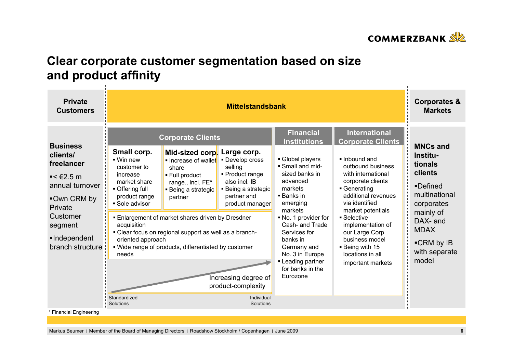

# **Clear corporate customer segmentation based on size and product affinity**

| <b>Private</b><br><b>Customers</b>                                                                                                                                                    | <b>Mittelstandsbank</b>                                                                                                                                                                                          |                                                                                                                                                                                                                                                                                                                                 |                                                                                                                                                                                                                 |                                                                                                                                                                                                                                                                                                                                    | <b>Corporates &amp;</b><br><b>Markets</b>                                                                                                                                                                                                                                                                                                                |                                                                                                                                                                              |
|---------------------------------------------------------------------------------------------------------------------------------------------------------------------------------------|------------------------------------------------------------------------------------------------------------------------------------------------------------------------------------------------------------------|---------------------------------------------------------------------------------------------------------------------------------------------------------------------------------------------------------------------------------------------------------------------------------------------------------------------------------|-----------------------------------------------------------------------------------------------------------------------------------------------------------------------------------------------------------------|------------------------------------------------------------------------------------------------------------------------------------------------------------------------------------------------------------------------------------------------------------------------------------------------------------------------------------|----------------------------------------------------------------------------------------------------------------------------------------------------------------------------------------------------------------------------------------------------------------------------------------------------------------------------------------------------------|------------------------------------------------------------------------------------------------------------------------------------------------------------------------------|
| <b>Business</b><br>clients/<br>freelancer<br>$\blacktriangleright$ < €2.5 m<br>annual turnover<br>■Own CRM by<br>Private<br>Customer<br>segment<br>•Independent<br>branch structure : | Small corp.<br>$\blacksquare$ Win new<br>customer to<br>increase<br>market share<br>• Offering full<br>product range<br>• Sole advisor<br>acquisition<br>oriented approach<br>needs<br>Standardized<br>Solutions | <b>Corporate Clients</b><br>Mid-sized corp.<br>Increase of wallet<br>share<br>■ Full product<br>range., incl. FE*<br>■ Being a strategic<br>partner<br><b>Enlargement of market shares driven by Dresdner</b><br>- Clear focus on regional support as well as a branch-<br>. Wide range of products, differentiated by customer | Large corp.<br>• Develop cross<br>selling<br>• Product range<br>also incl. IB<br>■ Being a strategic<br>partner and<br>product manager<br>Increasing degree of<br>product-complexity<br>Individual<br>Solutions | <b>Financial</b><br><b>Institutions</b><br>Global players<br>Small and mid-<br>sized banks in<br>advanced<br>markets<br>$\blacksquare$ Banks in<br>emerging<br>markets<br>No. 1 provider for<br>Cash- and Trade<br>Services for<br>banks in<br>Germany and<br>No. 3 in Europe<br>- Leading partner<br>for banks in the<br>Eurozone | <b>International</b><br><b>Corporate Clients</b><br>. Inbound and<br>outbound business<br>with international<br>corporate clients<br>• Generating<br>additional revenues<br>via identified<br>market potentials<br>■ Selective<br>implementation of<br>our Large Corp<br>business model<br><b>Being with 15</b><br>locations in all<br>important markets | <b>MNCs and</b><br>Institu-<br>tionals<br>clients<br>•Defined<br>multinational<br>corporates<br>mainly of<br>DAX- and<br><b>MDAX</b><br>■CRM by IB<br>with separate<br>model |
| * Financial Engineering                                                                                                                                                               |                                                                                                                                                                                                                  |                                                                                                                                                                                                                                                                                                                                 |                                                                                                                                                                                                                 |                                                                                                                                                                                                                                                                                                                                    |                                                                                                                                                                                                                                                                                                                                                          |                                                                                                                                                                              |

Markus Beumer | Member of the Board of Managing Directors | Roadshow Stockholm / Copenhagen | June 2009 **6**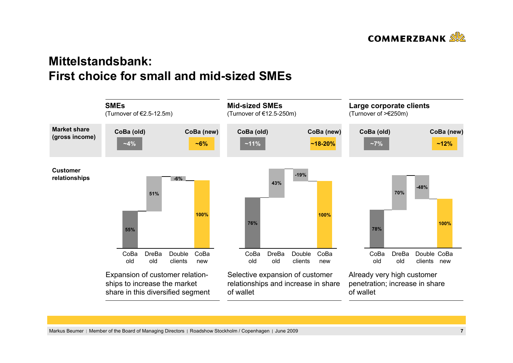

# **Mittelstandsbank: First choice for small and mid-sized SMEs**

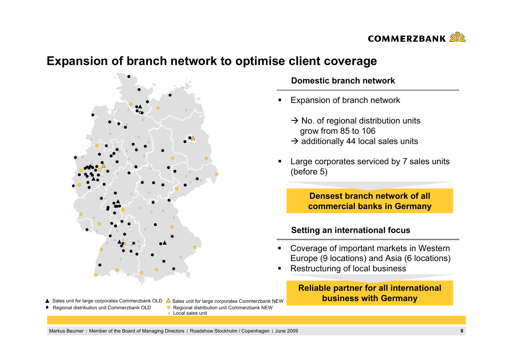

## **Expansion of branch network to optimise client coverage**



#### Sales unit for large corporates Commerzbank NEW Sales unit for large corporates Commerzbank OLD

- 
- Regional distribution unit Commerzbank OLD Regional distribution unit Commerzbank NEW
	- Local sales unit

### **Domestic branch network**

- П Expansion of branch network
	- $\rightarrow$  No. of regional distribution units grow from 85 to 106
	- $\rightarrow$  additionally 44 local sales units
- Large corporates serviced by 7 sales units (before 5)

**Densest branch network of all commercial banks in Germany**

### **Setting an international focus**

- Coverage of important markets in Western Europe (9 locations) and Asia (6 locations)
- n Restructuring of local business

### **Reliable partner for all international business with Germany**

Markus Beumer | Member of the Board of Managing Directors | Roadshow Stockholm / Copenhagen | June 2009 **8**<br>**8**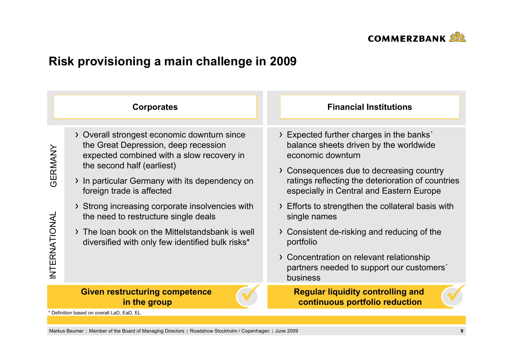

# **Risk provisioning a main challenge in 2009**

|                         | <b>Corporates</b>                                                                                                                                                                                                                                                                                                                                                                                                                               | <b>Financial Institutions</b>                                                                                                                                                                                                                                                                                                                                                                                                     |
|-------------------------|-------------------------------------------------------------------------------------------------------------------------------------------------------------------------------------------------------------------------------------------------------------------------------------------------------------------------------------------------------------------------------------------------------------------------------------------------|-----------------------------------------------------------------------------------------------------------------------------------------------------------------------------------------------------------------------------------------------------------------------------------------------------------------------------------------------------------------------------------------------------------------------------------|
| GERMANY<br>NTERNATIONAL | > Overall strongest economic downturn since<br>the Great Depression, deep recession<br>expected combined with a slow recovery in<br>the second half (earliest)<br>> In particular Germany with its dependency on<br>foreign trade is affected<br>> Strong increasing corporate insolvencies with<br>the need to restructure single deals<br>> The loan book on the Mittelstandsbank is well<br>diversified with only few identified bulk risks* | > Expected further charges in the banks'<br>balance sheets driven by the worldwide<br>economic downturn<br>> Consequences due to decreasing country<br>ratings reflecting the deterioration of countries<br>especially in Central and Eastern Europe<br>> Efforts to strengthen the collateral basis with<br>single names<br>> Consistent de-risking and reducing of the<br>portfolio<br>> Concentration on relevant relationship |
|                         |                                                                                                                                                                                                                                                                                                                                                                                                                                                 | partners needed to support our customers'<br>business                                                                                                                                                                                                                                                                                                                                                                             |
|                         | <b>Given restructuring competence</b><br>in the group                                                                                                                                                                                                                                                                                                                                                                                           | <b>Regular liquidity controlling and</b><br>continuous portfolio reduction                                                                                                                                                                                                                                                                                                                                                        |
|                         | * Definition based on overall LaD, EaD, EL                                                                                                                                                                                                                                                                                                                                                                                                      |                                                                                                                                                                                                                                                                                                                                                                                                                                   |
|                         |                                                                                                                                                                                                                                                                                                                                                                                                                                                 |                                                                                                                                                                                                                                                                                                                                                                                                                                   |

Markus Beumer | Member of the Board of Managing Directors | Roadshow Stockholm / Copenhagen | June 2009 **9**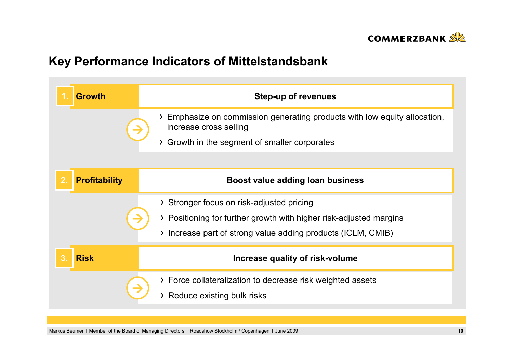

# **Key Performance Indicators of Mittelstandsbank**

| <b>Growth</b>                            | <b>Step-up of revenues</b>                                                                        |
|------------------------------------------|---------------------------------------------------------------------------------------------------|
|                                          | Emphasize on commission generating products with low equity allocation,<br>increase cross selling |
|                                          | Growth in the segment of smaller corporates<br>$\sum$                                             |
|                                          |                                                                                                   |
| $\overline{2}$ .<br><b>Profitability</b> | Boost value adding loan business                                                                  |
|                                          | > Stronger focus on risk-adjusted pricing                                                         |
|                                          | > Positioning for further growth with higher risk-adjusted margins                                |
|                                          | > Increase part of strong value adding products (ICLM, CMIB)                                      |
| 3 <sub>1</sub><br><b>Risk</b>            | Increase quality of risk-volume                                                                   |
|                                          | > Force collateralization to decrease risk weighted assets                                        |
|                                          | > Reduce existing bulk risks                                                                      |

Markus Beumer | Member of the Board of Managing Directors | Roadshow Stockholm / Copenhagen | June 2009 **10**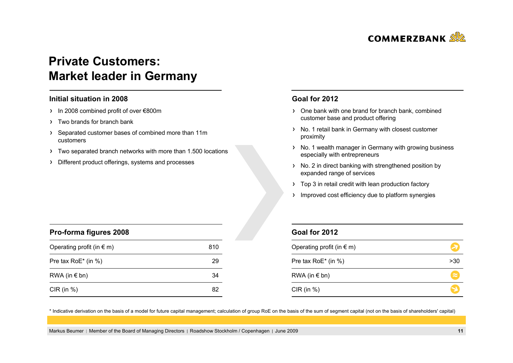

# **Private Customers: Market leader in Germany**

#### **Initial situation in 2008**

- In 2008 combined profit of over €800m
- > Two brands for branch bank

**Pro-forma figures 2008**

- Separated customer bases of combined more than 11m customers
- Two separated branch networks with more than 1.500 locations
- Different product offerings, systems and processes

#### **Goal for 2012**

- One bank with one brand for branch bank, combined customer base and product offering
- > No. 1 retail bank in Germany with closest customer proximity
- > No. 1 wealth manager in Germany with growing business especially with entrepreneurs
- > No. 2 in direct banking with strengthened position by expanded range of services
- > Top 3 in retail credit with lean production factory
- > Improved cost efficiency due to platform synergies

| <b>Pro-forma figures 2008</b>      |     |
|------------------------------------|-----|
| Operating profit (in $\epsilon$ m) | 810 |
| Pre tax RoE* (in %)                | 29  |
| RWA (in $\notin$ bn)               | 34  |
| CIR (in $%$ )                      | 82  |

### **Goal for 2012**

| Operating profit (in $\epsilon$ m) |           |
|------------------------------------|-----------|
| Pre tax RoE* (in %)                | >30       |
| RWA (in $\notin$ bn)               | $\approx$ |
| $CIR$ (in $%$ )                    |           |

\* Indicative derivation on the basis of a model for future capital management; calculation of group RoE on the basis of the sum of segment capital (not on the basis of shareholders' capital)

Markus Beumer | Member of the Board of Managing Directors | Roadshow Stockholm / Copenhagen | June 2009 **11 11**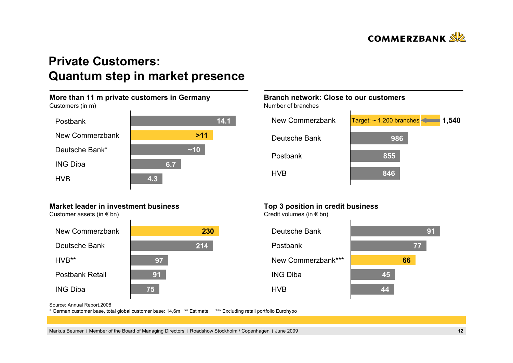

# **Private Customers: Quantum step in market presence**

#### **More than 11 m private customers in Germany** Customers (in m) HVB PostbankING DibaNew CommerzbankDeutsche Bank\*~**>1114.1~106.74.3**

### **Market leader in investment business**

Customer assets (in  $\epsilon$  bn)



## **Branch network: Close to our customers**

Number of branches



## **Top 3 position in credit business**

Credit volumes (in € bn)



Source: Annual Report.2008

\* German customer base, total global customer base: 14,6m \*\* Estimate \*\*\* Excluding retail portfolio Eurohypo

Markus Beumer | Member of the Board of Managing Directors | Roadshow Stockholm / Copenhagen | June 2009 **12**<br>**12**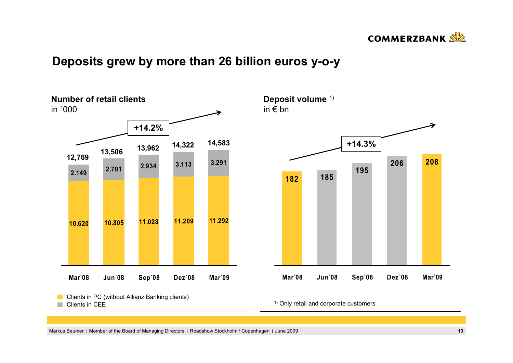

# **Deposits grew by more than 26 billion euros y-o-y**

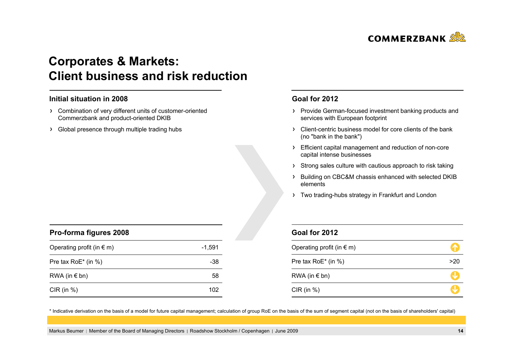

# **Corporates & Markets: Client business and risk reduction**

#### **Initial situation in 2008**

- Combination of very different units of customer-oriented Commerzbank and product-oriented DKIB
- > Global presence through multiple trading hubs

### **Goal for 2012**

- > Provide German-focused investment banking products and services with European footprint
- Client-centric business model for core clients of the bank (no "bank in the bank")
- Efficient capital management and reduction of non-core capital intense businesses
- > Strong sales culture with cautious approach to risk taking
- > Building on CBC&M chassis enhanced with selected DKIB elements
- > Two trading-hubs strategy in Frankfurt and London

| Pro-forma figures 2008             |        |  |
|------------------------------------|--------|--|
| Operating profit (in $\epsilon$ m) | -1.591 |  |
| Pre tax $RoE^*$ (in %)             | -38    |  |
| RWA (in $\epsilon$ bn)             | 58     |  |
| $CIR$ (in $%$ )                    | 102    |  |

### **Goal for 2012**

| Operating profit (in $\epsilon$ m) |     |
|------------------------------------|-----|
| Pre tax RoE* (in %)                | >20 |
| RWA (in $\notin$ bn)               |     |
| CIR (in $%$ )                      |     |

\* Indicative derivation on the basis of a model for future capital management; calculation of group RoE on the basis of the sum of segment capital (not on the basis of shareholders' capital)

Markus Beumer | Member of the Board of Managing Directors | Roadshow Stockholm / Copenhagen | June 2009 **14 14**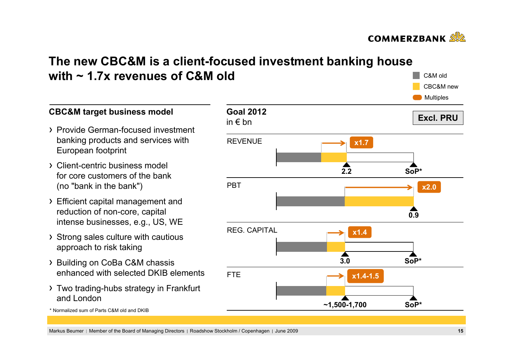

C&M oldCBC&M new

# **The new CBC&M is a client-focused investment banking house with ~ 1.7x revenues of C&M old**

**Goal 2012**in € bn**Excl. PRU**REVENUEPBTREG. CAPITALFTE **Multiples 2.20.93.0 ~1,500-1,700 x1.7 x2.0 SoP\*x1.4 SoP\*SoP\*x1.4-1.5**

## **CBC&M target business model**

- Provide German-focused investment banking products and services with European footprint
- Client-centric business model for core customers of the bank (no "bank in the bank")
- Efficient capital management and reduction of non-core, capital intense businesses, e.g., US, WE
- > Strong sales culture with cautious approach to risk taking
- > Building on CoBa C&M chassis enhanced with selected DKIB elements
- Two trading-hubs strategy in Frankfurt and London

\* Normalized sum of Parts C&M old and DKIB

Markus Beumer | Member of the Board of Managing Directors | Roadshow Stockholm / Copenhagen | June 2009 **1515**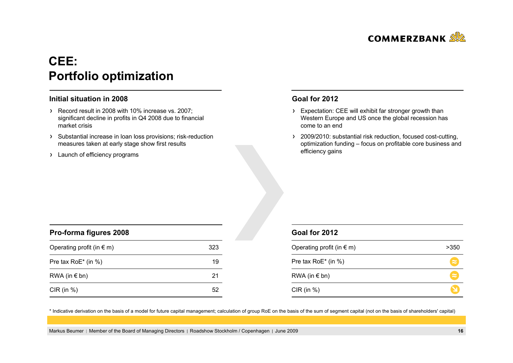

# **CEE: Portfolio optimization**

#### **Initial situation in 2008**

- Record result in 2008 with 10% increase vs. 2007; significant decline in profits in Q4 2008 due to financial market crisis
- > Substantial increase in loan loss provisions; risk-reduction measures taken at early stage show first results
- > Launch of efficiency programs

### **Goal for 2012**

- > Expectation: CEE will exhibit far stronger growth than Western Europe and US once the global recession has come to an end
- > 2009/2010: substantial risk reduction, focused cost-cutting, optimization funding – focus on profitable core business and efficiency gains

| Pro-forma figures 2008             |     |  |
|------------------------------------|-----|--|
| Operating profit (in $\epsilon$ m) | 323 |  |
| Pre tax RoE* (in %)                | 19  |  |
| RWA (in $\epsilon$ bn)             | 21  |  |
| CIR (in $%$ )                      |     |  |

### **Goal for 2012**

| Operating profit (in $\epsilon$ m) | >350      |
|------------------------------------|-----------|
| Pre tax RoE* (in %)                | $\approx$ |
| RWA (in $\notin$ bn)               | $\approx$ |
| $CIR$ (in %)                       |           |

\* Indicative derivation on the basis of a model for future capital management; calculation of group RoE on the basis of the sum of segment capital (not on the basis of shareholders' capital)

Markus Beumer Member of the Board of Managing Directors Roadshow Stockholm / Copenhagen June 2009 **16**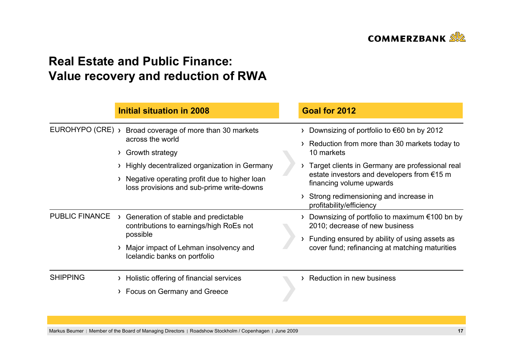

# **Real Estate and Public Finance: Value recovery and reduction of RWA**

|                       |        | <b>Initial situation in 2008</b>                                                                                                                                                                                             |  | Goal for 2012                                                                                                                                                                                                                                                                                                         |
|-----------------------|--------|------------------------------------------------------------------------------------------------------------------------------------------------------------------------------------------------------------------------------|--|-----------------------------------------------------------------------------------------------------------------------------------------------------------------------------------------------------------------------------------------------------------------------------------------------------------------------|
| EUROHYPO (CRE) >      | $\sum$ | Broad coverage of more than 30 markets<br>across the world<br>Growth strategy<br>> Highly decentralized organization in Germany<br>Negative operating profit due to higher loan<br>loss provisions and sub-prime write-downs |  | Downsizing of portfolio to $\epsilon$ 60 bn by 2012<br>Reduction from more than 30 markets today to<br>10 markets<br>Target clients in Germany are professional real<br>estate investors and developers from $€15$ m<br>financing volume upwards<br>Strong redimensioning and increase in<br>profitability/efficiency |
| <b>PUBLIC FINANCE</b> |        | Generation of stable and predictable<br>contributions to earnings/high RoEs not<br>possible<br>Major impact of Lehman insolvency and<br>Icelandic banks on portfolio                                                         |  | Downsizing of portfolio to maximum $\epsilon$ 100 bn by<br>2010; decrease of new business<br>Funding ensured by ability of using assets as<br>cover fund; refinancing at matching maturities                                                                                                                          |
| <b>SHIPPING</b>       |        | Holistic offering of financial services<br>> Focus on Germany and Greece                                                                                                                                                     |  | Reduction in new business                                                                                                                                                                                                                                                                                             |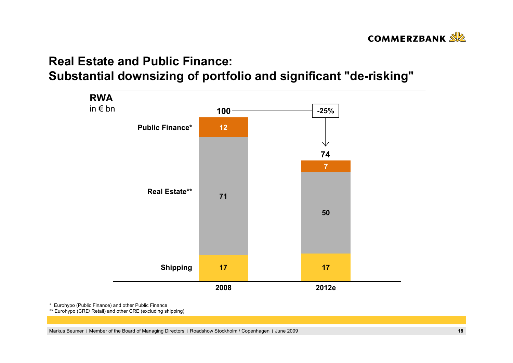

# **Real Estate and Public Finance:Substantial downsizing of portfolio and significant "de-risking"**



\* Eurohypo (Public Finance) and other Public Finance

\*\* Eurohypo (CRE/ Retail) and other CRE (excluding shipping)

Markus Beumer | Member of the Board of Managing Directors | Roadshow Stockholm / Copenhagen | June 2009 **18**<br>
18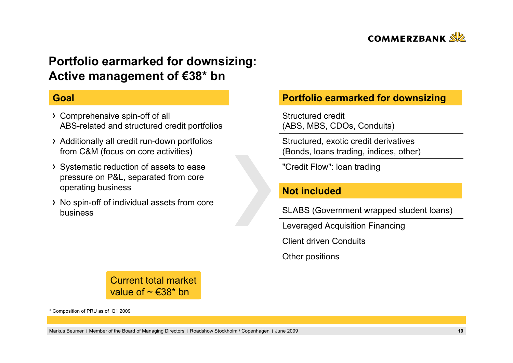

# **Portfolio earmarked for downsizing: Active management of €38\* bn**

## **Goal**

- Comprehensive spin-off of all ABS-related and structured credit portfolios
- Additionally all credit run-down portfolios from C&M (focus on core activities)
- Systematic reduction of assets to ease pressure on P&L, separated from core operating business
- No spin-off of individual assets from core business

## **Portfolio earmarked for downsizing**

Structured credit(ABS, MBS, CDOs, Conduits)

Structured, exotic credit derivatives (Bonds, loans trading, indices, other)

"Credit Flow": loan trading

## **Not included**

SLABS (Government wrapped student loans)

Leveraged Acquisition Financing

Client driven Conduits

Other positions

Current total marketvalue of  $\sim \text{\textsterling}38^*$  bn

\* Composition of PRU as of Q1 2009

Markus Beumer Member of the Board of Managing Directors Roadshow Stockholm / Copenhagen June 2009 **19**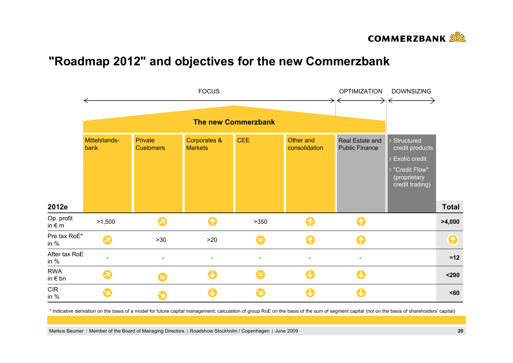

# **"Roadmap 2012" and objectives for the new Commerzbank**



\* Indicative derivation on the basis of a model for future capital management; calculation of group RoE on the basis of the sum of segment capital (not on the basis of shareholders' capital)

Markus Beumer | Member of the Board of Managing Directors | Roadshow Stockholm / Copenhagen | June 2009 **20 20**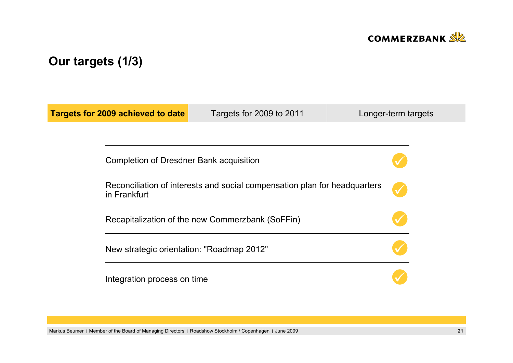

# **Our targets (1/3)**

| <b>Targets for 2009 achieved to date</b> | Targets for 2009 to 2011                                                                                                      | Longer-term targets |  |  |  |  |  |  |
|------------------------------------------|-------------------------------------------------------------------------------------------------------------------------------|---------------------|--|--|--|--|--|--|
|                                          |                                                                                                                               |                     |  |  |  |  |  |  |
|                                          | Completion of Dresdner Bank acquisition                                                                                       |                     |  |  |  |  |  |  |
| in Frankfurt                             | Reconciliation of interests and social compensation plan for headquarters<br>Recapitalization of the new Commerzbank (SoFFin) |                     |  |  |  |  |  |  |
|                                          |                                                                                                                               |                     |  |  |  |  |  |  |
|                                          | New strategic orientation: "Roadmap 2012"                                                                                     |                     |  |  |  |  |  |  |
| Integration process on time              |                                                                                                                               |                     |  |  |  |  |  |  |

Markus Beumer | Member of the Board of Managing Directors | Roadshow Stockholm / Copenhagen | June 2009 **21 21**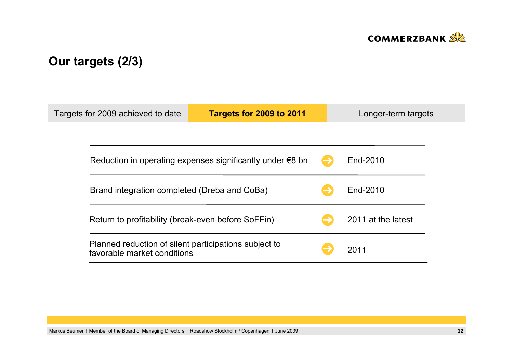

# **Our targets (2/3)**

| Targets for 2009 achieved to date                                                    | Targets for 2009 to 2011                                            |  | Longer-term targets |  |  |  |  |
|--------------------------------------------------------------------------------------|---------------------------------------------------------------------|--|---------------------|--|--|--|--|
|                                                                                      |                                                                     |  |                     |  |  |  |  |
|                                                                                      | Reduction in operating expenses significantly under $\epsilon$ 8 bn |  |                     |  |  |  |  |
|                                                                                      | Brand integration completed (Dreba and CoBa)                        |  |                     |  |  |  |  |
|                                                                                      | Return to profitability (break-even before SoFFin)                  |  |                     |  |  |  |  |
| Planned reduction of silent participations subject to<br>favorable market conditions |                                                                     |  | 2011                |  |  |  |  |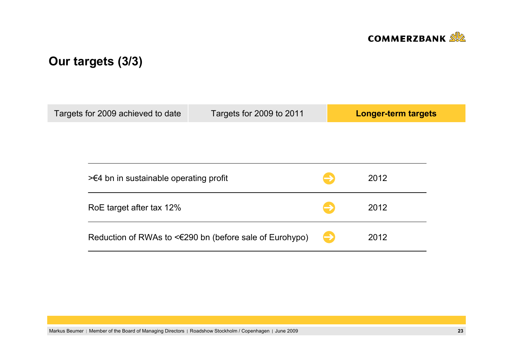

# **Our targets (3/3)**

| Targets for 2009 achieved to date | Targets for 2009 to 2011                                |  | <b>Longer-term targets</b> |  |  |  |
|-----------------------------------|---------------------------------------------------------|--|----------------------------|--|--|--|
|                                   |                                                         |  |                            |  |  |  |
|                                   |                                                         |  |                            |  |  |  |
|                                   |                                                         |  |                            |  |  |  |
|                                   | $\geq 4$ bn in sustainable operating profit             |  |                            |  |  |  |
|                                   |                                                         |  |                            |  |  |  |
| RoE target after tax 12%          |                                                         |  | 2012                       |  |  |  |
|                                   |                                                         |  |                            |  |  |  |
|                                   | Reduction of RWAs to <€290 bn (before sale of Eurohypo) |  | 2012                       |  |  |  |
|                                   |                                                         |  |                            |  |  |  |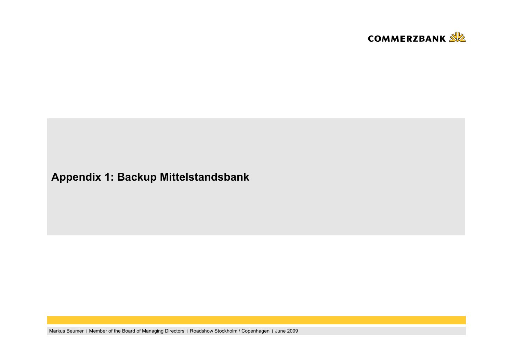

# **Appendix 1: Backup Mittelstandsbank**

Markus Beumer | Member of the Board of Managing Directors | Roadshow Stockholm / Copenhagen | June 2009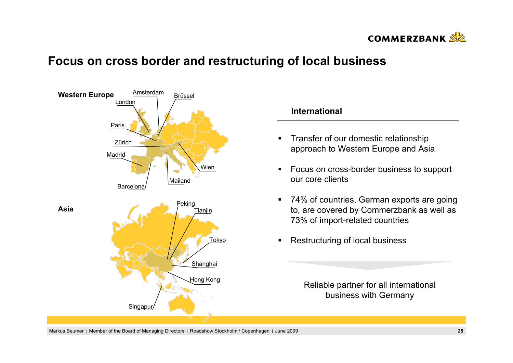

## **Focus on cross border and restructuring of local business**





Reliable partner for all international business with Germany

Markus Beumer | Member of the Board of Managing Directors | Roadshow Stockholm / Copenhagen | June 2009 **25 25**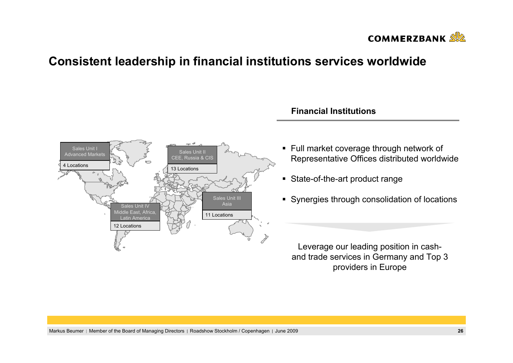

## **Consistent leadership in financial institutions services worldwide**



### **Financial Institutions**

- Full market coverage through network of Representative Offices distributed worldwide
- State-of-the-art product range
- **Synergies through consolidation of locations**

Leverage our leading position in cashand trade services in Germany and Top 3 providers in Europe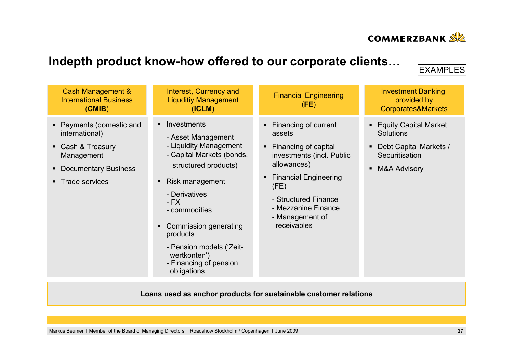

# **Indepth product know-how offered to our corporate clients…**

## EXAMPLES

| Cash Management &<br><b>International Business</b><br>(CMIB)                                                                                     | Interest, Currency and<br><b>Liquditiy Management</b><br>(ICLM)                                                                                                                                                                                                                                              | <b>Financial Engineering</b><br>(FE)                                                                                                                                                                                                          | <b>Investment Banking</b><br>provided by<br>Corporates&Markets                                                                |
|--------------------------------------------------------------------------------------------------------------------------------------------------|--------------------------------------------------------------------------------------------------------------------------------------------------------------------------------------------------------------------------------------------------------------------------------------------------------------|-----------------------------------------------------------------------------------------------------------------------------------------------------------------------------------------------------------------------------------------------|-------------------------------------------------------------------------------------------------------------------------------|
| • Payments (domestic and<br>international)<br>• Cash & Treasury<br>Management<br><b>Documentary Business</b><br>$\blacksquare$<br>Trade services | • Investments<br>- Asset Management<br>- Liquidity Management<br>- Capital Markets (bonds,<br>structured products)<br>• Risk management<br>- Derivatives<br>$-FX$<br>- commodities<br>Commission generating<br>products<br>- Pension models ('Zeit-<br>wertkonten')<br>- Financing of pension<br>obligations | Financing of current<br>assets<br>Financing of capital<br>$\blacksquare$<br>investments (incl. Public<br>allowances)<br><b>Financial Engineering</b><br>(FE)<br>- Structured Finance<br>- Mezzanine Finance<br>- Management of<br>receivables | ■ Equity Capital Market<br>Solutions<br>Debt Capital Markets /<br>Securitisation<br><b>M&amp;A Advisory</b><br>$\blacksquare$ |

**Loans used as anchor products for sustainable customer relations**

Markus Beumer | Member of the Board of Managing Directors | Roadshow Stockholm / Copenhagen | June 2009 **27 27**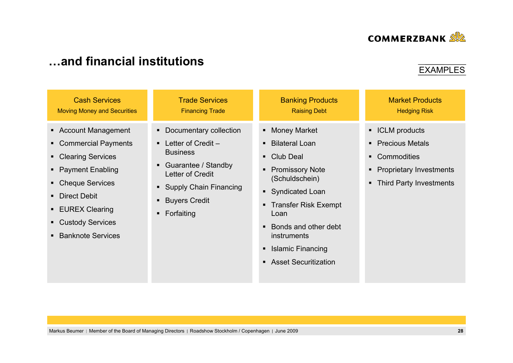

| <b>Cash Services</b><br><b>Trade Services</b><br><b>Banking Products</b><br><b>Market Products</b><br><b>Raising Debt</b><br><b>Hedging Risk</b><br><b>Moving Money and Securities</b><br><b>Financing Trade</b><br>• Account Management<br>Documentary collection<br>• ICLM products<br>• Money Market<br>$\blacksquare$<br>• Commercial Payments<br>• Precious Metals<br>Letter of Credit -<br><b>Bilateral Loan</b><br>$\blacksquare$<br>$\blacksquare$<br><b>Business</b><br>• Club Deal<br>• Commodities<br>• Clearing Services<br>Guarantee / Standby<br>$\blacksquare$<br><b>Promissory Note</b><br>• Payment Enabling<br>• Proprietary Investments<br>٠<br><b>Letter of Credit</b><br>(Schuldschein)<br>• Cheque Services<br>• Third Party Investments<br><b>Supply Chain Financing</b><br>Syndicated Loan<br>• Direct Debit |                                        |  |
|--------------------------------------------------------------------------------------------------------------------------------------------------------------------------------------------------------------------------------------------------------------------------------------------------------------------------------------------------------------------------------------------------------------------------------------------------------------------------------------------------------------------------------------------------------------------------------------------------------------------------------------------------------------------------------------------------------------------------------------------------------------------------------------------------------------------------------------|----------------------------------------|--|
|                                                                                                                                                                                                                                                                                                                                                                                                                                                                                                                                                                                                                                                                                                                                                                                                                                      |                                        |  |
| <b>Transfer Risk Exempt</b><br>$\blacksquare$<br><b>EUREX Clearing</b><br>Forfaiting<br>Loan<br>$\blacksquare$<br>• Custody Services<br>Bonds and other debt<br>$\blacksquare$<br><b>Banknote Services</b><br>instruments<br><b>Islamic Financing</b><br>$\blacksquare$<br>• Asset Securitization                                                                                                                                                                                                                                                                                                                                                                                                                                                                                                                                    | <b>Buyers Credit</b><br>$\blacksquare$ |  |

# **…and financial institutions**



**EXAMPLES**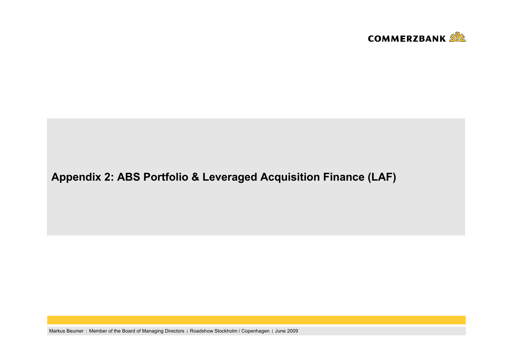

# **Appendix 2: ABS Portfolio & Leveraged Acquisition Finance (LAF)**

Markus Beumer | Member of the Board of Managing Directors | Roadshow Stockholm / Copenhagen | June 2009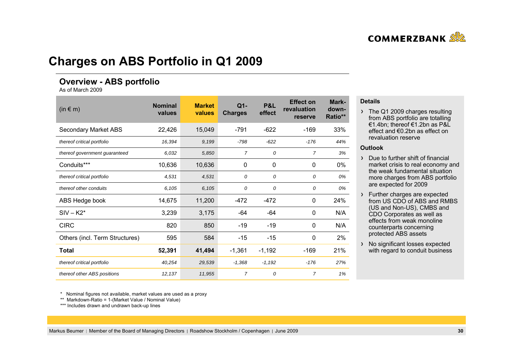

## **Charges on ABS Portfolio in Q1 2009**

### **Overview - ABS portfolio**

As of March 2009

| $(in \in m)$                   | <b>Nominal</b><br>values | <b>Market</b><br>values | $Q1-$<br><b>Charges</b> | P&L<br>effect | <b>Effect on</b><br>revaluation<br>reserve | Mark-<br>down-<br>Ratio** |
|--------------------------------|--------------------------|-------------------------|-------------------------|---------------|--------------------------------------------|---------------------------|
| <b>Secondary Market ABS</b>    | 22,426                   | 15,049                  | $-791$                  | $-622$        | $-169$                                     | 33%                       |
| thereof critical portfolio     | 16,394                   | 9,199                   | $-798$                  | $-622$        | $-176$                                     | 44%                       |
| thereof government guaranteed  | 6,032                    | 5,850                   | $\overline{7}$          | 0             | $\overline{7}$                             | 3%                        |
| Conduits***                    | 10,636                   | 10,636                  | $\mathbf{0}$            | $\mathbf 0$   | $\mathbf{0}$                               | 0%                        |
| thereof critical portfolio     | 4,531                    | 4,531                   | 0                       | 0             | 0                                          | 0%                        |
| thereof other conduits         | 6,105                    | 6,105                   | 0                       | 0             | 0                                          | 0%                        |
| ABS Hedge book                 | 14,675                   | 11,200                  | $-472$                  | $-472$        | 0                                          | 24%                       |
| $SIV - K2*$                    | 3,239                    | 3,175                   | -64                     | -64           | 0                                          | N/A                       |
| <b>CIRC</b>                    | 820                      | 850                     | -19                     | $-19$         | $\mathbf{0}$                               | N/A                       |
| Others (incl. Term Structures) | 595                      | 584                     | $-15$                   | $-15$         | $\mathbf{0}$                               | 2%                        |
| Total                          | 52,391                   | 41,494                  | $-1,361$                | $-1,192$      | $-169$                                     | 21%                       |
| thereof critical portfolio     | 40,254                   | 29,539                  | $-1,368$                | $-1,192$      | $-176$                                     | 27%                       |
| thereof other ABS positions    | 12,137                   | 11,955                  | $\overline{7}$          | 0             | $\overline{7}$                             | 1%                        |

#### **Details**

 $\rightarrow$  The Q1 2009 charges resulting from ABS portfolio are totalling €1.4bn; thereof €1.2bn as P&L effect and €0.2bn as effect on revaluation reserve

#### **Outlook**

- Due to further shift of financial market crisis to real economy and the weak fundamental situation more charges from ABS portfolio are expected for 2009
- Further charges are expected from US CDO of ABS and RMBS (US and Non-US), CMBS and CDO Corporates as well as effects from weak monolinecounterparts concerning protected ABS assets
- > No significant losses expected with regard to conduit business

\* Nominal figures not available, market values are used as a proxy

\*\* Markdown-Ratio = 1-(Market Value / Nominal Value)

\*\*\* Includes drawn and undrawn back-up lines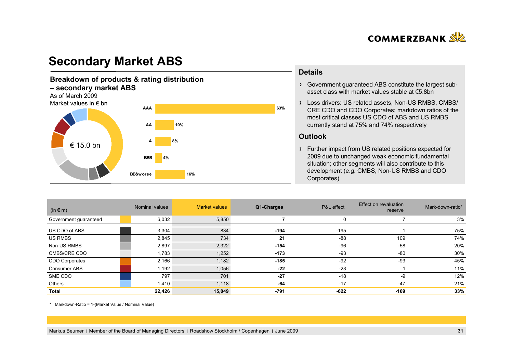

# **Secondary Market ABS**

#### **Breakdown of products & rating distribution – secondary market ABS** As of March 2009Market values in € bn**4%10% 8%BBBA AA AAA** $€ 15.0$  bn

**BB&worse**

**16%**

#### **Details**

- Government guaranteed ABS constitute the largest subasset class with market values stable at €5.8bn
- Loss drivers: US related assets, Non-US RMBS, CMBS/ CRE CDO and CDO Corporates; markdown ratios of the most critical classes US CDO of ABS and US RMBS currently stand at 75% and 74% respectively

#### **Outlook**

**63%**

Further impact from US related positions expected for 2009 due to unchanged weak economic fundamental situation; other segments will also contribute to this development (e.g. CMBS, Non-US RMBS and CDO Corporates)

| $(in \in m)$          | Nominal values | <b>Market values</b> | Q1-Charges | P&L effect | Effect on revaluation<br>reserve | Mark-down-ratio* |
|-----------------------|----------------|----------------------|------------|------------|----------------------------------|------------------|
| Government guaranteed | 6,032          | 5,850                |            | 0          |                                  | 3%               |
| US CDO of ABS         | 3,304          | 834                  | $-194$     | $-195$     |                                  | 75%              |
| US RMBS               | 2,845          | 734                  | 21         | $-88$      | 109                              | 74%              |
| Non-US RMBS           | 2,897          | 2,322                | $-154$     | $-96$      | $-58$                            | 20%              |
| <b>CMBS/CRE CDO</b>   | 1,783          | 1,252                | $-173$     | $-93$      | $-80$                            | 30%              |
| CDO Corporates        | 2,166          | 1,182                | $-185$     | $-92$      | -93                              | 45%              |
| <b>Consumer ABS</b>   | 1,192          | 1,056                | $-22$      | $-23$      |                                  | 11%              |
| SME CDO               | 797            | 701                  | $-27$      | $-18$      | -9                               | 12%              |
| Others                | 1,410          | 1,118                | $-64$      | $-17$      | $-47$                            | 21%              |
| Total                 | 22,426         | 15,049               | -791       | $-622$     | $-169$                           | 33%              |

\* Markdown-Ratio = 1-(Market Value / Nominal Value)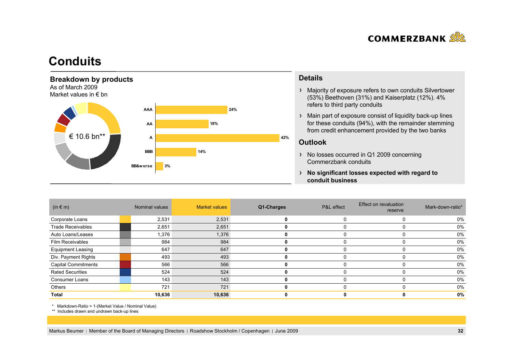

## **Conduits**



### **Details**

- Majority of exposure refers to own conduits Silvertower (53%) Beethoven (31%) and Kaiserplatz (12%). 4% refers to third party conduits
- Main part of exposure consist of liquidity back-up lines for these conduits (94%), with the remainder stemming from credit enhancement provided by the two banks

### **Outlook**

- > No losses occurred in Q1 2009 concerning Commerzbank conduits
- **No significant losses expected with regard to conduit business**

| $(in \in m)$               | Nominal values | <b>Market values</b> | Q1-Charges | P&L effect | Effect on revaluation<br>reserve | Mark-down-ratio* |
|----------------------------|----------------|----------------------|------------|------------|----------------------------------|------------------|
| Corporate Loans            | 2,531          | 2,531                |            |            |                                  | 0%               |
| <b>Trade Receivables</b>   | 2,651          | 2,651                |            |            |                                  | 0%               |
| Auto Loans/Leases          | 1,376          | 1,376                |            |            |                                  | 0%               |
| <b>Film Receivables</b>    | 984            | 984                  |            |            |                                  | 0%               |
| <b>Equipment Leasing</b>   | 647            | 647                  |            |            |                                  | 0%               |
| Div. Payment Rights        | 493            | 493                  |            |            |                                  | 0%               |
| <b>Capital Commitments</b> | 566            | 566                  |            |            |                                  | 0%               |
| <b>Rated Securities</b>    | 524            | 524                  |            |            |                                  | 0%               |
| <b>Consumer Loans</b>      | 143            | 143                  |            |            |                                  | 0%               |
| Others                     | 721            | 721                  |            |            | $\Omega$                         | $0\%$            |
| Total                      | 10,636         | 10,636               |            |            |                                  | 0%               |

\* Markdown-Ratio = 1-(Market Value / Nominal Value)

\*\* Includes drawn and undrawn back-up lines

Markus Beumer | Member of the Board of Managing Directors | Roadshow Stockholm / Copenhagen | June 2009 **32**<br> **32**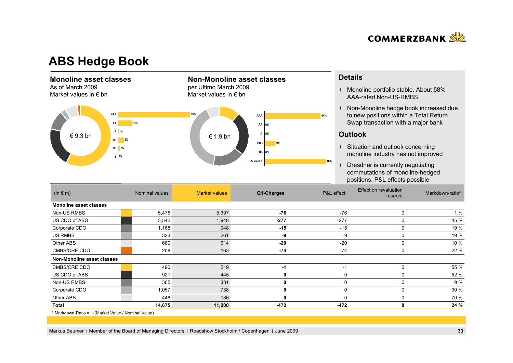

## **ABS Hedge Book**

### **Monoline asset classes**

As of March 2009Market values in  $\epsilon$  bn



#### **Details**

- > Monoline portfolio stable. About 58% AAA-rated Non-US-RMBS
- > Non-Monoline hedge book increased due to new positions within a Total Return Swap transaction with a major bank

#### **Outlook**

- > Situation and outlook concerning monoline industry has not improved
- > Dresdner is currently negotiating commutations of monoline-hedged positions. P&L effects possible

| $(in \in m)$                                        | Nominal values | <b>Market values</b> | Q1-Charges | P&L effect | Effect on revaluation<br>reserve | Markdown-ratio* |
|-----------------------------------------------------|----------------|----------------------|------------|------------|----------------------------------|-----------------|
| <b>Monoline asset classes</b>                       |                |                      |            |            |                                  |                 |
| Non-US RMBS                                         | 5,475          | 5,397                | -76        | $-76$      | 0                                | 1%              |
| US CDO of ABS                                       | 3,542          | 1,948                | $-277$     | $-277$     | 0                                | 45 %            |
| Corporate CDO                                       | 1,168          | 948                  | $-15$      | $-15$      | 0                                | 19 %            |
| <b>US RMBS</b>                                      | 323            | 261                  | -9         | -9         | 0                                | 19 %            |
| Other ABS                                           | 680            | 614                  | $-20$      | $-20$      | $\mathbf{0}$                     | 10 %            |
| CMBS/CRE CDO                                        | 208            | 163                  | $-74$      | $-74$      | 0                                | 22 %            |
| Non-Monoline asset classes                          |                |                      |            |            |                                  |                 |
| CMBS/CRE CDO                                        | 490            | 219                  | -1         | $-1$       | 0                                | 55 %            |
| US CDO of ABS                                       | 921            | 445                  | 0          |            | 0                                | 52 %            |
| Non-US RMBS                                         | 365            | 331                  | 0          | $\Omega$   | $\mathbf{0}$                     | 9 %             |
| Corporate CDO                                       | 1,057          | 738                  | 0          | 0          | $\Omega$                         | 30 %            |
| Other ABS                                           | 446            | 136                  | 0          |            | 0                                | 70 %            |
| Total                                               | 14,675         | 11,200               | -472       | $-472$     | 0                                | 24 %            |
| * Markdown-Ratio = 1-(Market Value / Nominal Value) |                |                      |            |            |                                  |                 |

**Non-Monoline asset classes** 

per Ultimo March 2009 Market values in  $\epsilon$  bn

Markus Beumer | Member of the Board of Managing Directors | Roadshow Stockholm / Copenhagen | June 2009 **33 33**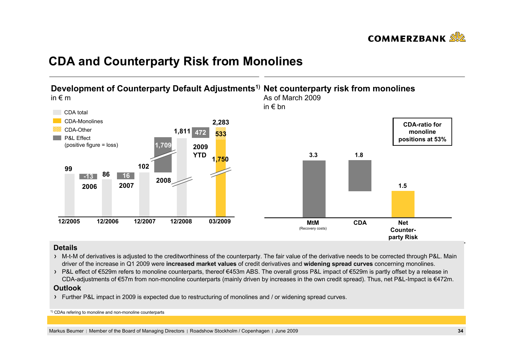

# **CDA and Counterparty Risk from Monolines**



#### **Details**

- $\rightarrow$  M-t-M of derivatives is adjusted to the creditworthiness of the counterparty. The fair value of the derivative needs to be corrected through P&L. Main driver of the increase in Q1 2009 were **increased market values** of credit derivatives and **widening spread curves** concerning monolines.
- > P&L effect of €529m refers to monoline counterparts, thereof €453m ABS. The overall gross P&L impact of €529m is partly offset by a release in CDA-adjustments of €57m from non-monoline counterparts (mainly driven by increases in the own credit spread). Thus, net P&L-Impact is €472m.

#### **Outlook**

Further P&L impact in 2009 is expected due to restructuring of monolines and / or widening spread curves.

<sup>1)</sup> CDAs refering to monoline and non-monoline counterparts

Markus Beumer | Member of the Board of Managing Directors | Roadshow Stockholm / Copenhagen | June 2009 **34 34**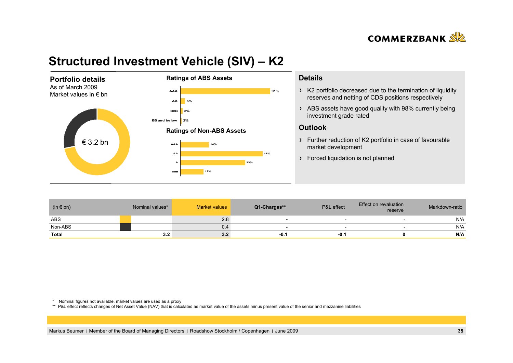

# **Structured Investment Vehicle (SIV) – K2**



#### **Details**

- K2 portfolio decreased due to the termination of liquidity reserves and netting of CDS positions respectively
- ABS assets have good quality with 98% currently being investment grade rated

#### **Outlook**

- Further reduction of K2 portfolio in case of favourable market development
- > Forced liquidation is not planned

| $(in \in bn)$ | Nominal values* | Market values | Q1-Charges** | P&L effect | Effect on revaluation<br>reserve | Markdown-ratio |
|---------------|-----------------|---------------|--------------|------------|----------------------------------|----------------|
| <b>ABS</b>    |                 | 2.8           |              |            |                                  | N/A            |
| Non-ABS       |                 | 0.4           |              |            |                                  | N/A            |
| Total         | 3.2             | 3.2           | -0.1         | -0. ∖      |                                  | N/A            |

\* Nominal figures not available, market values are used as a proxy

\*\* P&L effect reflects changes of Net Asset Value (NAV) that is calculated as market value of the assets minus present value of the senior and mezzanine liabilities

Markus Beumer | Member of the Board of Managing Directors | Roadshow Stockholm / Copenhagen | June 2009 **35 35**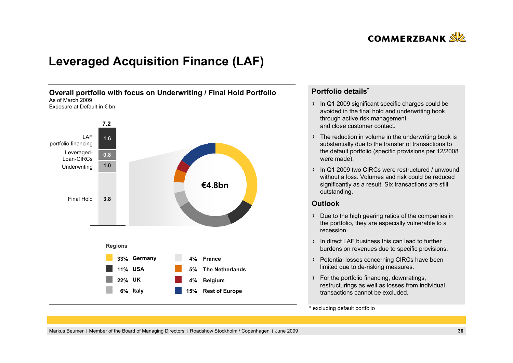

# **Leveraged Acquisition Finance (LAF)**



### **Portfolio details\***

- In Q1 2009 significant specific charges could be avoided in the final hold and underwriting book through active risk management and close customer contact.
- The reduction in volume in the underwriting book is substantially due to the transfer of transactions to the default portfolio (specific provisions per 12/2008 were made).
- In Q1 2009 two CIRCs were restructured / unwound without a loss. Volumes and risk could be reducedsignificantly as a result. Six transactions are still outstanding.

### **Outlook**

- **k**<br>**b** the high gearing ratios of<br>rtfolio, they are especially Due to the high gearing ratios of the companies in the portfolio, they are especially vulnerable to a recession.
- In direct LAF business this can lead to furtherburdens on revenues due to specific provisions.
- > Potential losses concerning CIRCs have been limited due to de-risking measures.
- For the portfolio financing, downratings, restructurings as well as losses from individual transactions cannot be excluded.

#### \* excluding default portfolio

Markus Beumer | Member of the Board of Managing Directors | Roadshow Stockholm / Copenhagen | June 2009 **36 36**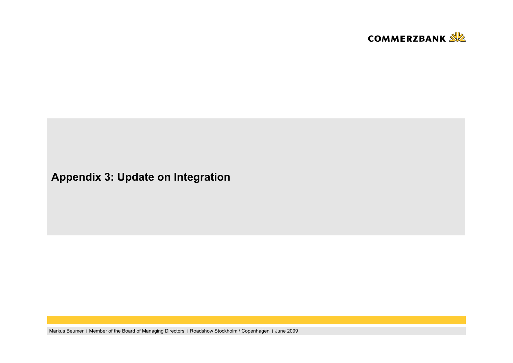

**Appendix 3: Update on Integration**

Markus Beumer | Member of the Board of Managing Directors | Roadshow Stockholm / Copenhagen | June 2009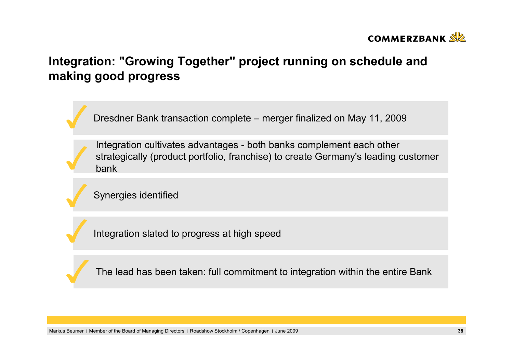

# **Integration: "Growing Together" project running on schedule and making good progress**

Dresdner Bank transaction complete – merger finalized on May 11, 2009

Integration cultivates advantages - both banks complement each other strategically (product portfolio, franchise) to create Germany's leading customer bank

 $E$ ur synergies identified for in cash synergies have been identified for implementation  $\mathbf{f}$ *b the ground exceed* Synergies identified

Integration slated to progress at high speed Integration slated to progress at high speed

The lead has been taken: full commitment to integration within the entire Bank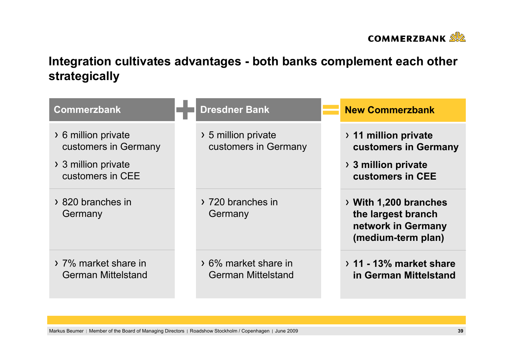

# **Integration cultivates advantages - both banks complement each other strategically**

| <b>Commerzbank</b>                                | <b>Dresdner Bank</b>                              | <b>New Commerzbank</b>                                                                              |
|---------------------------------------------------|---------------------------------------------------|-----------------------------------------------------------------------------------------------------|
| > 6 million private<br>customers in Germany       | > 5 million private<br>customers in Germany       | > 11 million private<br>customers in Germany                                                        |
| > 3 million private<br>customers in CEE           |                                                   | $\rightarrow$ 3 million private<br>customers in CEE                                                 |
| > 820 branches in<br>Germany                      | > 720 branches in<br>Germany                      | $\rightarrow$ With 1,200 branches<br>the largest branch<br>network in Germany<br>(medium-term plan) |
| > 7% market share in<br><b>German Mittelstand</b> | > 6% market share in<br><b>German Mittelstand</b> | $\rightarrow$ 11 - 13% market share<br>in German Mittelstand                                        |

Markus Beumer | Member of the Board of Managing Directors | Roadshow Stockholm / Copenhagen | June 2009 **39 39**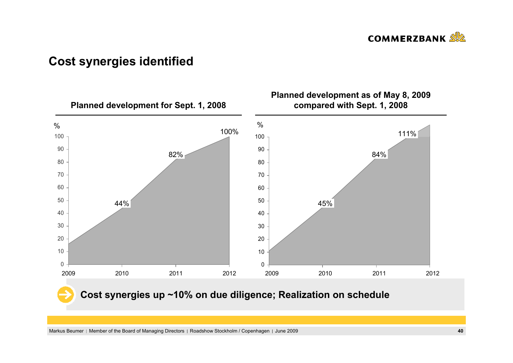

# **Cost synergies identified**

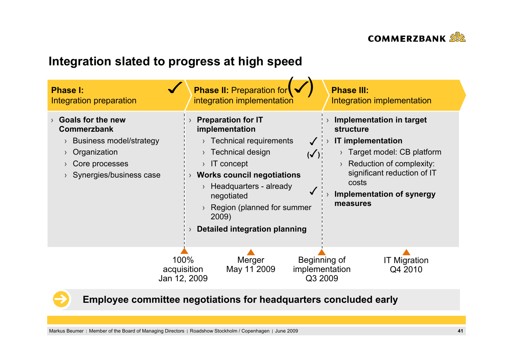

# **Integration slated to progress at high speed**



**Employee committee negotiations for headquarters concluded early**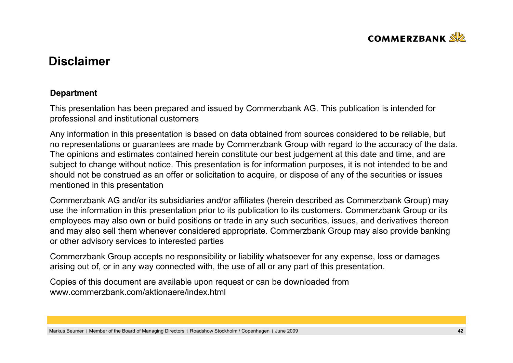

# **Disclaimer**

## **Department**

This presentation has been prepared and issued by Commerzbank AG. This publication is intended for professional and institutional customers

Any information in this presentation is based on data obtained from sources considered to be reliable, but no representations or guarantees are made by Commerzbank Group with regard to the accuracy of the data. The opinions and estimates contained herein constitute our best judgement at this date and time, and are subject to change without notice. This presentation is for information purposes, it is not intended to be and should not be construed as an offer or solicitation to acquire, or dispose of any of the securities or issues mentioned in this presentation

Commerzbank AG and/or its subsidiaries and/or affiliates (herein described as Commerzbank Group) may use the information in this presentation prior to its publication to its customers. Commerzbank Group or its employees may also own or build positions or trade in any such securities, issues, and derivatives thereon and may also sell them whenever considered appropriate. Commerzbank Group may also provide banking or other advisory services to interested parties

Commerzbank Group accepts no responsibility or liability whatsoever for any expense, loss or damages arising out of, or in any way connected with, the use of all or any part of this presentation.

Copies of this document are available upon request or can be downloaded from www.commerzbank.com/aktionaere/index.html